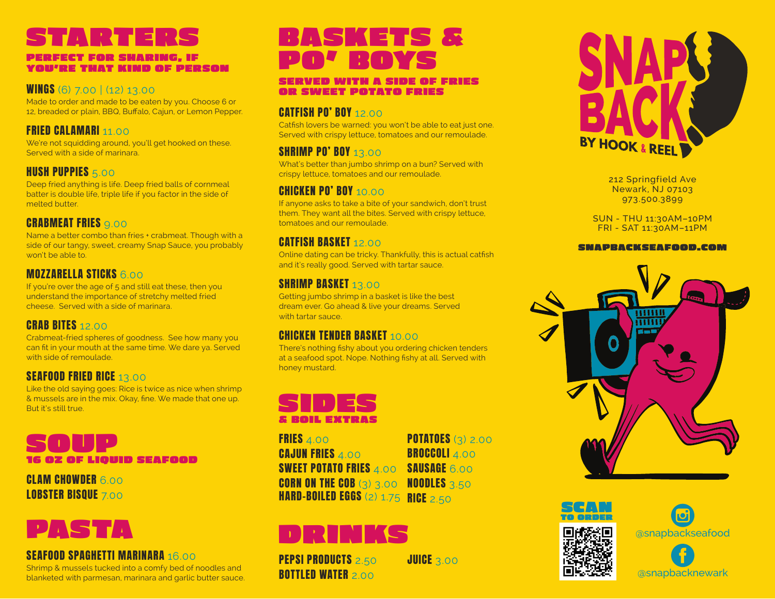# STARTERS

#### PERFECT FOR SHARING, IF YOU'RE THAT KIND OF PERSON

#### WINGS (6) 7.00 | (12) 13.00

Made to order and made to be eaten by you. Choose 6 or 12, breaded or plain, BBQ, Buffalo, Cajun, or Lemon Pepper.

## FRIED CALAMARI 11.00

We're not squidding around, you'll get hooked on these. Served with a side of marinara.

# **HUSH PUPPIES 5.00**

Deep fried anything is life. Deep fried balls of cornmeal batter is double life, triple life if you factor in the side of melted butter.

# **CRABMEAT FRIES** 9.00

Name a better combo than fries + crabmeat. Though with a side of our tangy, sweet, creamy Snap Sauce, you probably won't be able to.

## MOZZARELLA STICKS 6.00

If you're over the age of 5 and still eat these, then you understand the importance of stretchy melted fried cheese. Served with a side of marinara.

# **CRAB BITES 12.000**

Crabmeat-fried spheres of goodness. See how many you can fit in your mouth at the same time. We dare ya. Served with side of remoulade.

# SEAFOOD FRIED RICE 13.00

Like the old saying goes: Rice is twice as nice when shrimp & mussels are in the mix. Okay, fine. We made that one up. But it's still true.

# SOUP 16 OZ OF LIQUID SEAFOOD

**CLAM CHOWDER 6.000** LOBSTER BISQUE 7.00

# PASTA

#### **SEAFOOD SPAGHETTI MARINARA 16.00**

Shrimp & mussels tucked into a comfy bed of noodles and blanketed with parmesan, marinara and garlic butter sauce.

# BASKETS & PO' BOYS

#### SERVED WITH A SIDE OF FRIES OR SWEET POTATO FRIES

### CATFISH PO' BOY 12.00

Catfish lovers be warned: you won't be able to eat just one. Served with crispy lettuce, tomatoes and our remoulade.

# SHRIMP PO' BOY 13.00

What's better than jumbo shrimp on a bun? Served with crispy lettuce, tomatoes and our remoulade.

## CHICKEN PO' BOY 10.00

If anyone asks to take a bite of your sandwich, don't trust them. They want all the bites. Served with crispy lettuce, tomatoes and our remoulade.

## CATFISH BASKET 12.00

Online dating can be tricky. Thankfully, this is actual catfish and it's really good. Served with tartar sauce.

## **SHRIMP BASKET 13.00**

Getting jumbo shrimp in a basket is like the best dream ever. Go ahead & live your dreams. Served with tartar sauce.

# **CHICKEN TENDER BASKET 10.000**

There's nothing fishy about you ordering chicken tenders at a seafood spot. Nope. Nothing fishy at all. Served with honey mustard.



FRIES 4.00 **CAJUN FRIES 4.00** SWEET POTATO FRIES 4.00 - SAUSAGE 6.00 CORN ON THE COB (3) 3.00 NOODLES 3.50 HARD-BOILED EGGS (2) 1.75 RICE 2.50 **POTATOES (3) 2.00** BROCCOLI 4.00

# DRINKS

PEPSI PRODUCTS 2.50 **BOTTLED WATER**  $2.00$ 

**JUICE 3.00** 



212 Springfield Ave Newark, NJ 07103 973.500.3899

SUN - THU 11:30AM–10PM FRI - SAT 11:30AM–11PM

#### SNAPBACKSEAFOOD.COM